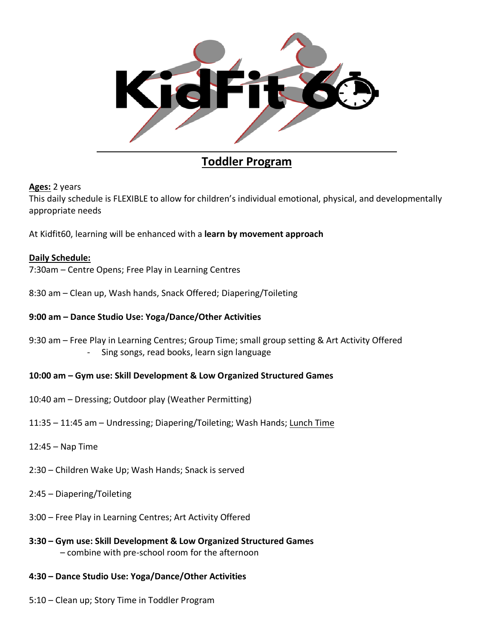

# **Toddler Program**

## **Ages:** 2 years

This daily schedule is FLEXIBLE to allow for children's individual emotional, physical, and developmentally appropriate needs

At Kidfit60, learning will be enhanced with a **learn by movement approach** 

## **Daily Schedule:**

- 7:30am Centre Opens; Free Play in Learning Centres
- 8:30 am Clean up, Wash hands, Snack Offered; Diapering/Toileting

## **9:00 am – Dance Studio Use: Yoga/Dance/Other Activities**

9:30 am – Free Play in Learning Centres; Group Time; small group setting & Art Activity Offered - Sing songs, read books, learn sign language

#### **10:00 am – Gym use: Skill Development & Low Organized Structured Games**

- 10:40 am Dressing; Outdoor play (Weather Permitting)
- 11:35 11:45 am Undressing; Diapering/Toileting; Wash Hands; Lunch Time
- 12:45 Nap Time
- 2:30 Children Wake Up; Wash Hands; Snack is served
- 2:45 Diapering/Toileting
- 3:00 Free Play in Learning Centres; Art Activity Offered
- **3:30 – Gym use: Skill Development & Low Organized Structured Games** – combine with pre-school room for the afternoon
- **4:30 – Dance Studio Use: Yoga/Dance/Other Activities**
- 5:10 Clean up; Story Time in Toddler Program